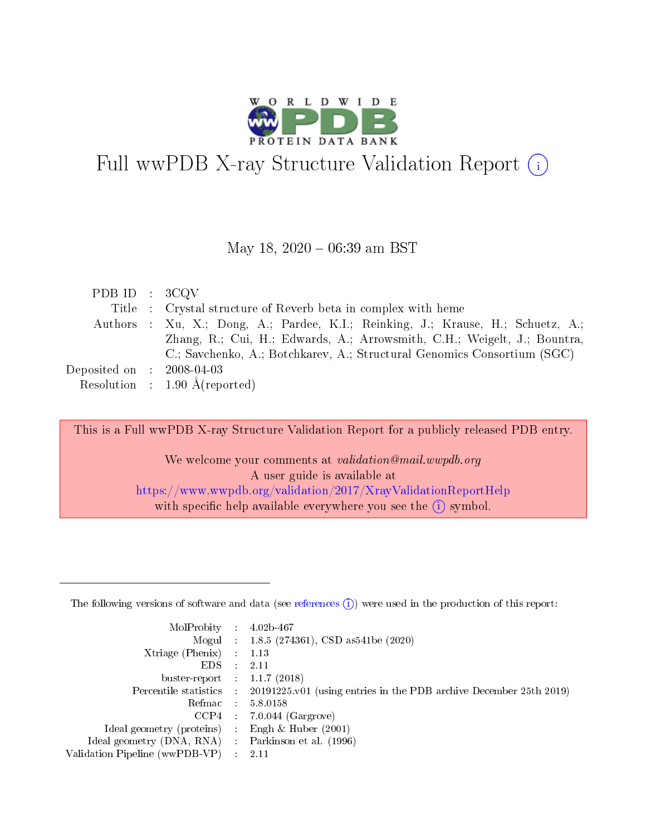

# Full wwPDB X-ray Structure Validation Report  $(i)$

#### May 18,  $2020 - 06:39$  am BST

| PDB ID : $3CQV$             |                                                                                  |
|-----------------------------|----------------------------------------------------------------------------------|
|                             | Title : Crystal structure of Reverb beta in complex with heme                    |
|                             | Authors : Xu, X.; Dong, A.; Pardee, K.I.; Reinking, J.; Krause, H.; Schuetz, A.; |
|                             | Zhang, R.; Cui, H.; Edwards, A.; Arrowsmith, C.H.; Weigelt, J.; Bountra,         |
|                             | C.; Savchenko, A.; Botchkarev, A.; Structural Genomics Consortium (SGC)          |
| Deposited on : $2008-04-03$ |                                                                                  |
|                             | Resolution : $1.90 \text{ Å}$ (reported)                                         |

This is a Full wwPDB X-ray Structure Validation Report for a publicly released PDB entry.

We welcome your comments at validation@mail.wwpdb.org A user guide is available at <https://www.wwpdb.org/validation/2017/XrayValidationReportHelp> with specific help available everywhere you see the  $(i)$  symbol.

The following versions of software and data (see [references](https://www.wwpdb.org/validation/2017/XrayValidationReportHelp#references)  $(1)$ ) were used in the production of this report:

| MolProbity :                   |               | $4.02b - 467$                                                               |
|--------------------------------|---------------|-----------------------------------------------------------------------------|
|                                |               | Mogul : $1.8.5$ (274361), CSD as 541be (2020)                               |
| Xtriage (Phenix)               | $\mathcal{L}$ | 1.13                                                                        |
| EDS.                           |               | 2.11                                                                        |
| buster-report : $1.1.7$ (2018) |               |                                                                             |
| Percentile statistics :        |               | $20191225 \text{v}01$ (using entries in the PDB archive December 25th 2019) |
| Refmac :                       |               | 5.8.0158                                                                    |
| CCP4                           |               | $7.0.044$ (Gargrove)                                                        |
| Ideal geometry (proteins) :    |               | Engh $\&$ Huber (2001)                                                      |
| Ideal geometry (DNA, RNA) :    |               | Parkinson et al. (1996)                                                     |
| Validation Pipeline (wwPDB-VP) | $\mathcal{L}$ | 2.11                                                                        |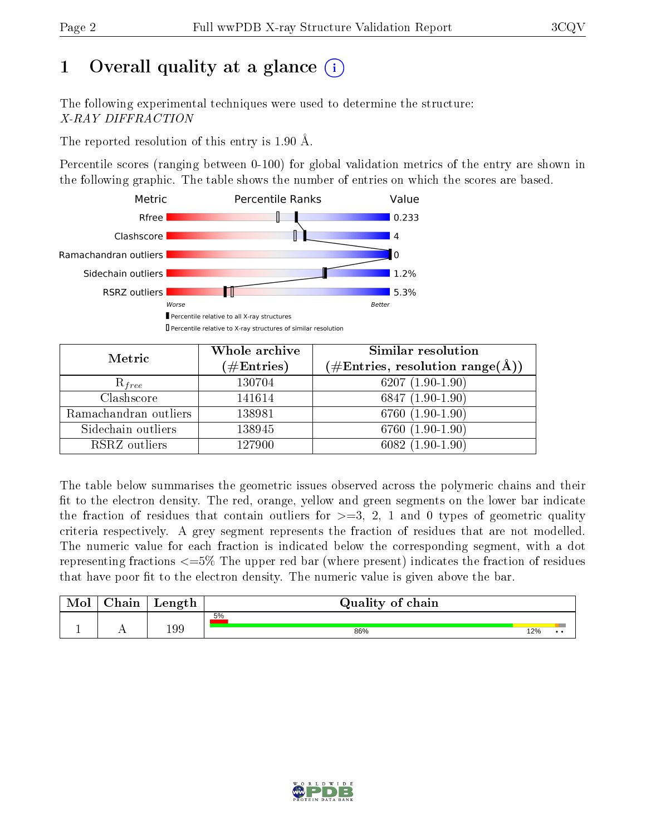# 1 [O](https://www.wwpdb.org/validation/2017/XrayValidationReportHelp#overall_quality)verall quality at a glance  $(i)$

The following experimental techniques were used to determine the structure: X-RAY DIFFRACTION

The reported resolution of this entry is 1.90 Å.

Percentile scores (ranging between 0-100) for global validation metrics of the entry are shown in the following graphic. The table shows the number of entries on which the scores are based.



| Metric                | Whole archive<br>$(\#\mathrm{Entries})$ | Similar resolution<br>$(\#\text{Entries},\,\text{resolution}\,\,\text{range}(\textup{\AA}))$ |
|-----------------------|-----------------------------------------|----------------------------------------------------------------------------------------------|
| $R_{free}$            | 130704                                  | $6207(1.90-1.90)$                                                                            |
| Clashscore            | 141614                                  | $6847(1.90-1.90)$                                                                            |
| Ramachandran outliers | 138981                                  | $6760(1.90-1.90)$                                                                            |
| Sidechain outliers    | 138945                                  | 6760 (1.90-1.90)                                                                             |
| RSRZ outliers         | 127900                                  | $6082(1.90-1.90)$                                                                            |

The table below summarises the geometric issues observed across the polymeric chains and their fit to the electron density. The red, orange, yellow and green segments on the lower bar indicate the fraction of residues that contain outliers for  $>=3, 2, 1$  and 0 types of geometric quality criteria respectively. A grey segment represents the fraction of residues that are not modelled. The numeric value for each fraction is indicated below the corresponding segment, with a dot representing fractions  $\epsilon=5\%$  The upper red bar (where present) indicates the fraction of residues that have poor fit to the electron density. The numeric value is given above the bar.

| Mol | $\sim$ 1 $\sim$<br>hain | Length | Quality of chain |     |     |
|-----|-------------------------|--------|------------------|-----|-----|
|     |                         |        | 5%               |     |     |
| л.  | . .                     | 199    | 86%              | 12% | . . |

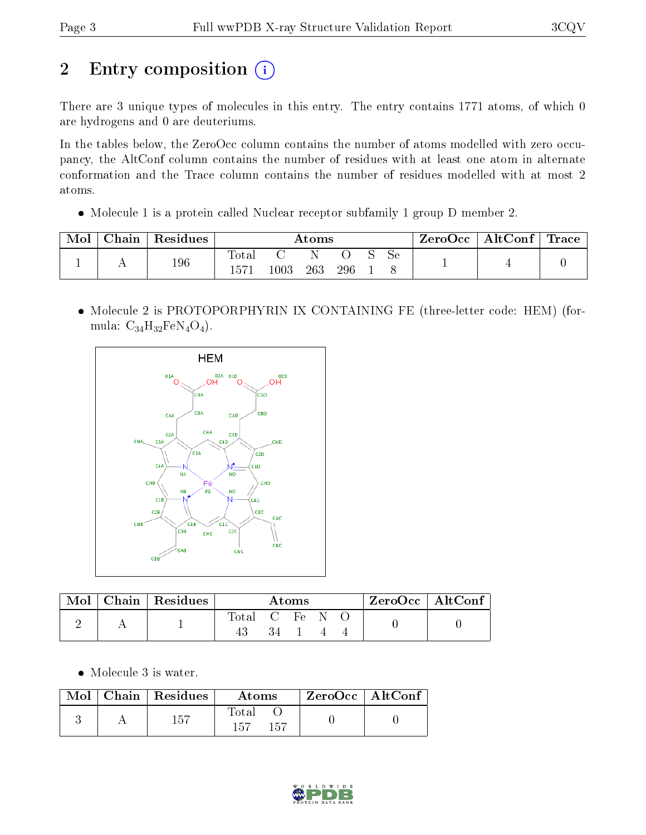# 2 Entry composition (i)

There are 3 unique types of molecules in this entry. The entry contains 1771 atoms, of which 0 are hydrogens and 0 are deuteriums.

In the tables below, the ZeroOcc column contains the number of atoms modelled with zero occupancy, the AltConf column contains the number of residues with at least one atom in alternate conformation and the Trace column contains the number of residues modelled with at most 2 atoms.

• Molecule 1 is a protein called Nuclear receptor subfamily 1 group D member 2.

| Mol | $Chain$ | Residues |                      | $\rm{Atoms}$ |     |     |  |    | ZeroOcc | $\mid$ AltConf $\mid$ Trace $\mid$ |  |
|-----|---------|----------|----------------------|--------------|-----|-----|--|----|---------|------------------------------------|--|
|     | . .     | 196      | Total<br>$157^\circ$ | 1003         | 263 | 296 |  | эе |         |                                    |  |

 Molecule 2 is PROTOPORPHYRIN IX CONTAINING FE (three-letter code: HEM) (formula:  $C_{34}H_{32}FeN_4O_4$ .



| Mol | $Chain   Residues$ | Atoms      |    |  |  | ZeroOcc   AltConf |  |  |
|-----|--------------------|------------|----|--|--|-------------------|--|--|
|     |                    | Total C Fe |    |  |  |                   |  |  |
|     |                    |            | 34 |  |  |                   |  |  |

Molecule 3 is water.

| Mol | $\mid$ Chain $\mid$ Residues | Atoms               | $ZeroOcc$   AltConf |  |
|-----|------------------------------|---------------------|---------------------|--|
|     | 157                          | Total<br>157<br>157 |                     |  |

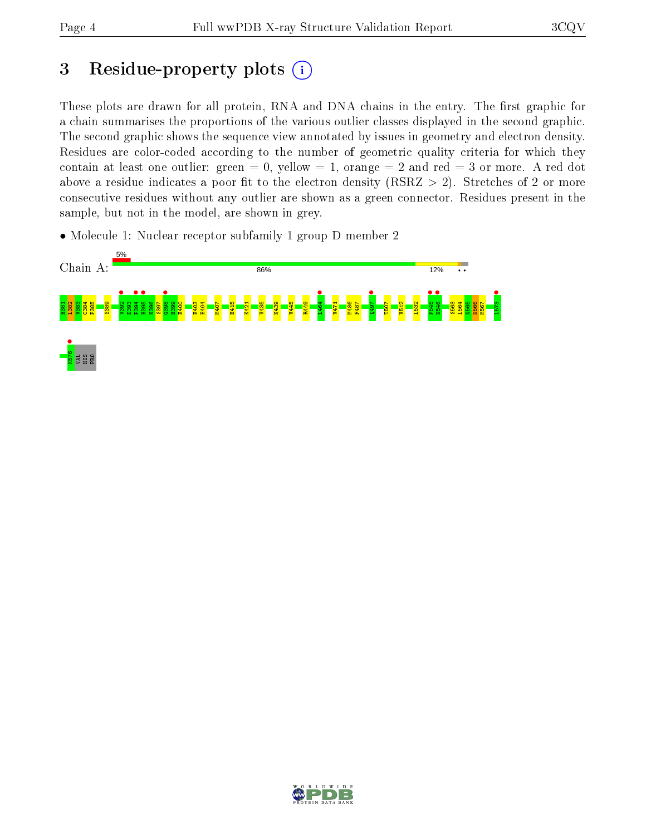## 3 Residue-property plots  $(i)$

These plots are drawn for all protein, RNA and DNA chains in the entry. The first graphic for a chain summarises the proportions of the various outlier classes displayed in the second graphic. The second graphic shows the sequence view annotated by issues in geometry and electron density. Residues are color-coded according to the number of geometric quality criteria for which they contain at least one outlier: green  $= 0$ , yellow  $= 1$ , orange  $= 2$  and red  $= 3$  or more. A red dot above a residue indicates a poor fit to the electron density (RSRZ  $> 2$ ). Stretches of 2 or more consecutive residues without any outlier are shown as a green connector. Residues present in the sample, but not in the model, are shown in grey.

• Molecule 1: Nuclear receptor subfamily 1 group D member 2



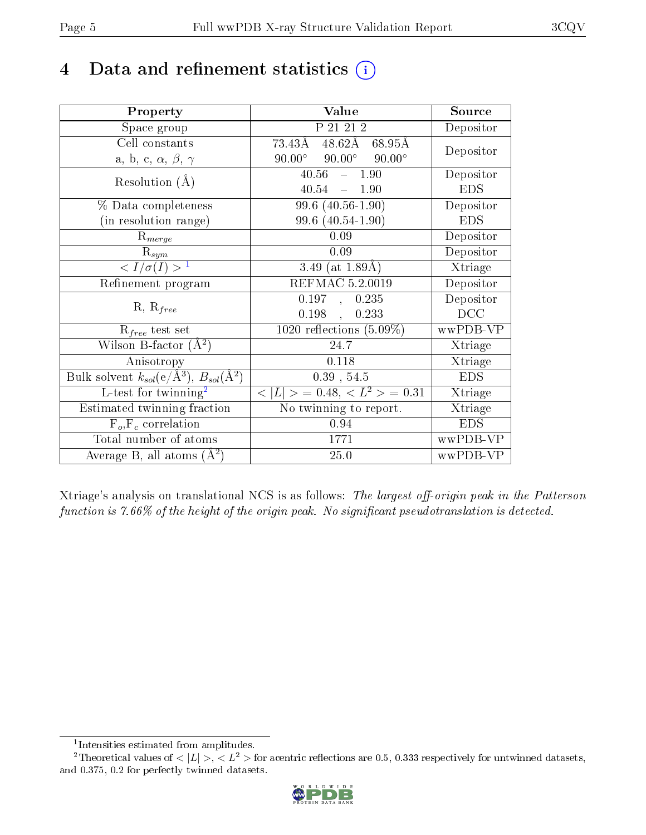## 4 Data and refinement statistics  $(i)$

| Property                                                              | Value                                           | Source     |
|-----------------------------------------------------------------------|-------------------------------------------------|------------|
| Space group                                                           | P 21 21 2                                       | Depositor  |
| Cell constants                                                        | $48.62\text{\AA}$<br>73.43Å<br>68.95Å           | Depositor  |
| a, b, c, $\alpha$ , $\beta$ , $\gamma$                                | $90.00^\circ$<br>$90.00^\circ$<br>$90.00^\circ$ |            |
| Resolution $(A)$                                                      | 40.56<br>$-1.90$                                | Depositor  |
|                                                                       | 40.54<br>$-1.90$                                | <b>EDS</b> |
| % Data completeness                                                   | $99.6(40.56-1.90)$                              | Depositor  |
| (in resolution range)                                                 | 99.6 (40.54-1.90)                               | <b>EDS</b> |
| $R_{merge}$                                                           | 0.09                                            | Depositor  |
| $\mathrm{R}_{sym}$                                                    | 0.09                                            | Depositor  |
| $\langle I/\sigma(I) \rangle^{-1}$                                    | 3.49 (at $1.89\text{\AA}$ )                     | Xtriage    |
| Refinement program                                                    | REFMAC 5.2.0019                                 | Depositor  |
| $R, R_{free}$                                                         | 0.197<br>0.235<br>$\mathbf{A}$                  | Depositor  |
|                                                                       | 0.198<br>0.233                                  | DCC        |
| $R_{free}$ test set                                                   | 1020 reflections $(5.09\%)$                     | wwPDB-VP   |
| Wilson B-factor $(A^2)$                                               | 24.7                                            | Xtriage    |
| Anisotropy                                                            | 0.118                                           | Xtriage    |
| Bulk solvent $k_{sol}(\text{e}/\text{\AA}^3),\,B_{sol}(\text{\AA}^2)$ | $0.39$ , $54.5$                                 | <b>EDS</b> |
| $L$ -test for twinning <sup>2</sup>                                   | $< L >$ = 0.48, $< L2 >$ = 0.31                 | Xtriage    |
| Estimated twinning fraction                                           | No twinning to report.                          | Xtriage    |
| $F_o, F_c$ correlation                                                | 0.94                                            | <b>EDS</b> |
| Total number of atoms                                                 | 1771                                            | wwPDB-VP   |
| Average B, all atoms $(A^2)$                                          | 25.0                                            | wwPDB-VP   |

Xtriage's analysis on translational NCS is as follows: The largest off-origin peak in the Patterson function is  $7.66\%$  of the height of the origin peak. No significant pseudotranslation is detected.

<sup>&</sup>lt;sup>2</sup>Theoretical values of  $\langle |L| \rangle$ ,  $\langle L^2 \rangle$  for acentric reflections are 0.5, 0.333 respectively for untwinned datasets, and 0.375, 0.2 for perfectly twinned datasets.



<span id="page-4-1"></span><span id="page-4-0"></span><sup>1</sup> Intensities estimated from amplitudes.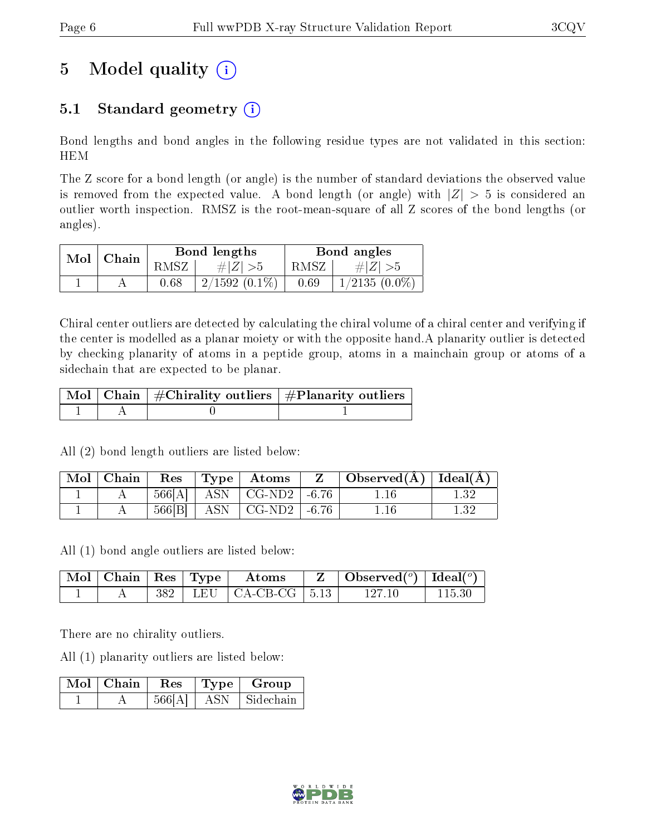# 5 Model quality  $(i)$

### 5.1 Standard geometry  $(i)$

Bond lengths and bond angles in the following residue types are not validated in this section: HEM

The Z score for a bond length (or angle) is the number of standard deviations the observed value is removed from the expected value. A bond length (or angle) with  $|Z| > 5$  is considered an outlier worth inspection. RMSZ is the root-mean-square of all Z scores of the bond lengths (or angles).

| $Mol$   Chain |      | Bond lengths    | Bond angles |                 |  |
|---------------|------|-----------------|-------------|-----------------|--|
|               | RMSZ | # $ Z  > 5$     | RMSZ        | # $ Z  > 5$     |  |
|               | 0.68 | $2/1592(0.1\%)$ | 0.69        | $1/2135(0.0\%)$ |  |

Chiral center outliers are detected by calculating the chiral volume of a chiral center and verifying if the center is modelled as a planar moiety or with the opposite hand.A planarity outlier is detected by checking planarity of atoms in a peptide group, atoms in a mainchain group or atoms of a sidechain that are expected to be planar.

|  | $\mid$ Mol $\mid$ Chain $\mid$ #Chirality outliers $\mid$ #Planarity outliers $\mid$ |
|--|--------------------------------------------------------------------------------------|
|  |                                                                                      |

All (2) bond length outliers are listed below:

| Mol   Chain | $\operatorname{Res}$ | $\vert$ Type $\vert$ Atoms               | $\perp$ Observed(Å) $\parallel$ Ideal(Å) $\parallel$ |      |
|-------------|----------------------|------------------------------------------|------------------------------------------------------|------|
|             |                      | $566[A]$   ASN   CG-ND2   -6.76          | 1.16                                                 |      |
|             | 566[B]               | $\vert$ ASN $\vert$ CG-ND2 $\vert$ -6.76 | 1.16                                                 | 1.32 |

All (1) bond angle outliers are listed below:

| $\vert$ Mol $\vert$ Chain $\vert$ Res $\vert$ Type $\vert$ |  | $\boldsymbol{\mathrm{Atoms}}$ | Observed $(^\circ)$   Ideal $(^\circ)$ |  |
|------------------------------------------------------------|--|-------------------------------|----------------------------------------|--|
|                                                            |  | $382$   LEU   CA-CB-CG   5.13 | 197 10                                 |  |

There are no chirality outliers.

All (1) planarity outliers are listed below:

| Mol | $\perp$ Chain | Res    | 'Type | Group     |
|-----|---------------|--------|-------|-----------|
|     |               | 566[A] |       | Sidechain |

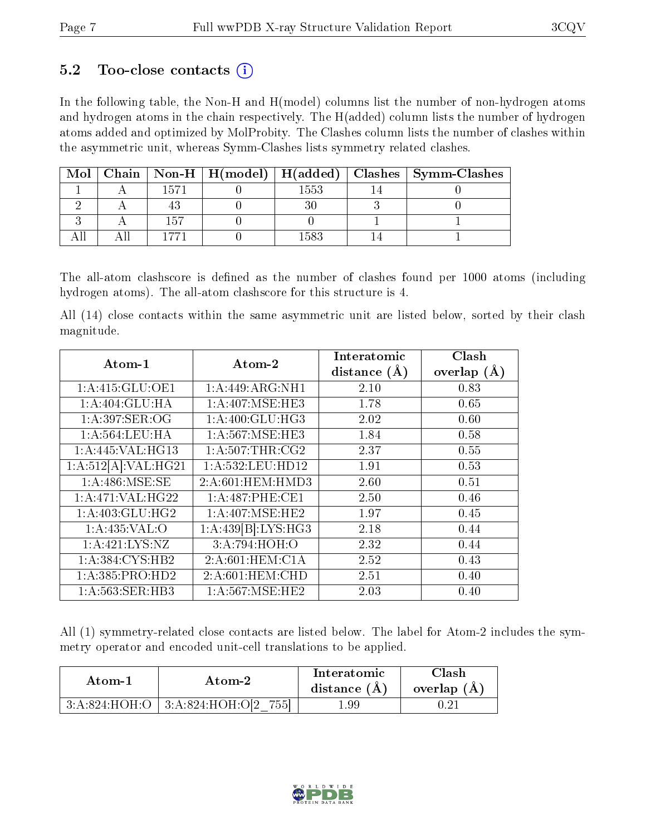### 5.2 Too-close contacts  $(i)$

In the following table, the Non-H and H(model) columns list the number of non-hydrogen atoms and hydrogen atoms in the chain respectively. The H(added) column lists the number of hydrogen atoms added and optimized by MolProbity. The Clashes column lists the number of clashes within the asymmetric unit, whereas Symm-Clashes lists symmetry related clashes.

| Mol |          |      | Chain   Non-H   H(model)   H(added)   Clashes   Symm-Clashes |
|-----|----------|------|--------------------------------------------------------------|
|     | 1571     | 1553 |                                                              |
|     |          |      |                                                              |
|     | 157      |      |                                                              |
|     | $-7 - 1$ |      |                                                              |

The all-atom clashscore is defined as the number of clashes found per 1000 atoms (including hydrogen atoms). The all-atom clashscore for this structure is 4.

All (14) close contacts within the same asymmetric unit are listed below, sorted by their clash magnitude.

| Atom-1              | Atom-2             | Interatomic    | Clash         |
|---------------------|--------------------|----------------|---------------|
|                     |                    | distance $(A)$ | overlap $(A)$ |
| 1:A:415:GLU:OE1     | 1:A:449:ARG:NH1    | 2.10           | 0.83          |
| 1:A:404:GLU:HA      | 1: A:407: MSE:HE3  | 1.78           | 0.65          |
| 1:A:397:SER:OG      | 1:A:400:GLU:HG3    | 2.02           | 0.60          |
| 1: A:564:LEU:HA     | 1: A:567: MSE:HE3  | 1.84           | 0.58          |
| 1: A:445: VAL:HG13  | 1: A:507:THR:CG2   | 2.37           | 0.55          |
| 1:A:512[A]:VAL:HG21 | 1:A:532:LEU:HD12   | 1.91           | 0.53          |
| 1: A:486:MSE:SE     | 2:A:601:HEM:HMD3   | 2.60           | 0.51          |
| 1:A:471:VAL:HG22    | 1:A:487:PHE:CE1    | 2.50           | 0.46          |
| 1:A:403:GLU:HG2     | 1: A:407: MSE:HE2  | 1.97           | 0.45          |
| 1: A:435: VAL:O     | 1:A:439[B]:LYS:HG3 | 2.18           | 0.44          |
| 1: A:421: LYS: NZ   | 3:A:794:HOH:O      | 2.32           | 0.44          |
| 1:A:384:CYS:HB2     | 2:A:601:HEM:CA     | 2.52           | 0.43          |
| 1:A:385:PRO:HD2     | 2:A:601:HEM:CHD    | 2.51           | 0.40          |
| 1:A:563:SER:HB3     | 1: A:567: MSE:HE2  | 2.03           | 0.40          |

All (1) symmetry-related close contacts are listed below. The label for Atom-2 includes the symmetry operator and encoded unit-cell translations to be applied.

| Atom-1 | Atom-2                                       | Interatomic<br>distance $(A)$ | Clash-<br>overlap $(A)$ |
|--------|----------------------------------------------|-------------------------------|-------------------------|
|        | $3:A:824:HOH:O$   $3:A:824:HOH:O[2]$<br>7551 | L.99                          |                         |

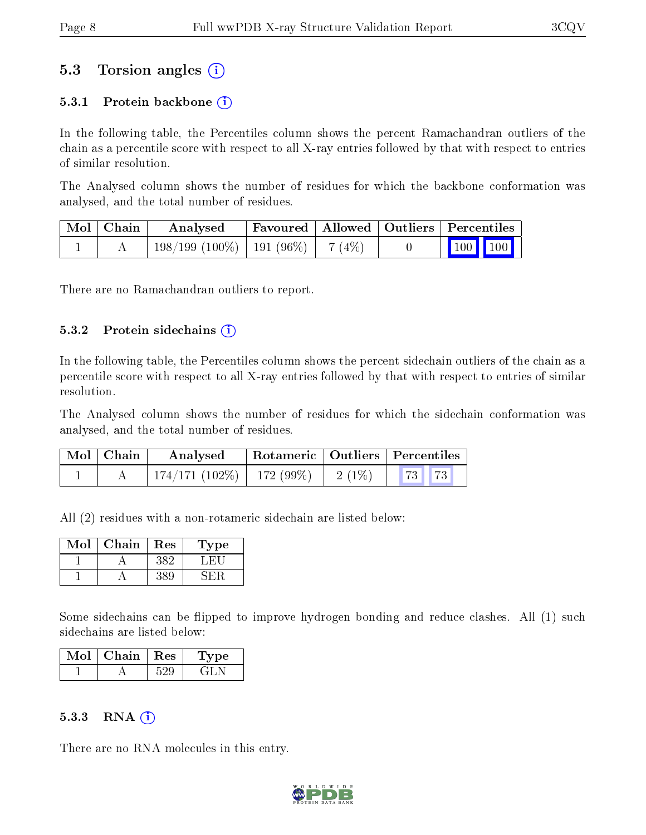### 5.3 Torsion angles (i)

#### 5.3.1 Protein backbone  $(i)$

In the following table, the Percentiles column shows the percent Ramachandran outliers of the chain as a percentile score with respect to all X-ray entries followed by that with respect to entries of similar resolution.

The Analysed column shows the number of residues for which the backbone conformation was analysed, and the total number of residues.

| Mol   Chain | Analysed                                 |  |  | Favoured   Allowed   Outliers   Percentiles                |  |
|-------------|------------------------------------------|--|--|------------------------------------------------------------|--|
|             | $198/199$ (100\%)   191 (96\%)   7 (4\%) |  |  | $\begin{array}{ c c c c }\n\hline\n100 & 100\n\end{array}$ |  |

There are no Ramachandran outliers to report.

#### $5.3.2$  Protein sidechains  $(i)$

In the following table, the Percentiles column shows the percent sidechain outliers of the chain as a percentile score with respect to all X-ray entries followed by that with respect to entries of similar resolution.

The Analysed column shows the number of residues for which the sidechain conformation was analysed, and the total number of residues.

| Mol   Chain | Analysed                    |                | Rotameric   Outliers   Percentiles |  |
|-------------|-----------------------------|----------------|------------------------------------|--|
|             | $174/171(102\%)$ 172 (99\%) | $2(1\%)$ 73 73 |                                    |  |

All (2) residues with a non-rotameric sidechain are listed below:

| Mol | ${\bf Chain}$ | Res | 1'ype |
|-----|---------------|-----|-------|
|     |               |     |       |
|     |               |     |       |

Some sidechains can be flipped to improve hydrogen bonding and reduce clashes. All (1) such sidechains are listed below:

| Mol | Chain   Res | vpe |
|-----|-------------|-----|
|     |             |     |

#### 5.3.3 RNA  $(i)$

There are no RNA molecules in this entry.

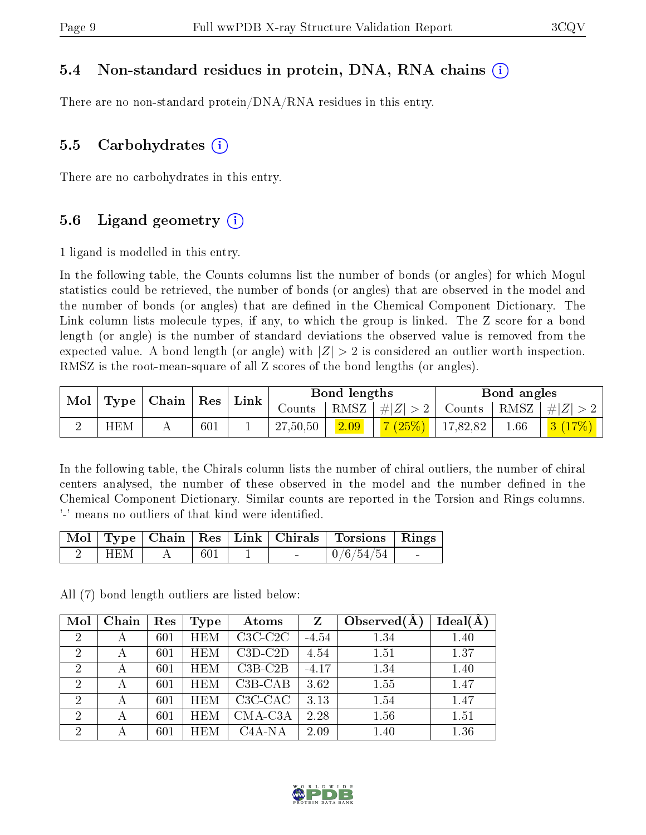#### 5.4 Non-standard residues in protein, DNA, RNA chains (i)

There are no non-standard protein/DNA/RNA residues in this entry.

#### 5.5 Carbohydrates  $(i)$

There are no carbohydrates in this entry.

#### 5.6 Ligand geometry  $(i)$

1 ligand is modelled in this entry.

In the following table, the Counts columns list the number of bonds (or angles) for which Mogul statistics could be retrieved, the number of bonds (or angles) that are observed in the model and the number of bonds (or angles) that are dened in the Chemical Component Dictionary. The Link column lists molecule types, if any, to which the group is linked. The Z score for a bond length (or angle) is the number of standard deviations the observed value is removed from the expected value. A bond length (or angle) with  $|Z| > 2$  is considered an outlier worth inspection. RMSZ is the root-mean-square of all Z scores of the bond lengths (or angles).

|  | $\top$ Type   Chain   Res   Link  <br>$\mathbf{Mol}$ |  |     |          |      | Bond lengths              |          | Bond angles                                                       |  |
|--|------------------------------------------------------|--|-----|----------|------|---------------------------|----------|-------------------------------------------------------------------|--|
|  |                                                      |  |     |          |      |                           |          | Counts   RMSZ $\mid \#  Z  > 2$   Counts   RMSZ $\mid \#  Z  > 2$ |  |
|  | <b>HEM</b>                                           |  | 601 | 27,50,50 | 2.09 | $\mid$ 7 (25%)   17,82,82 | $1.66\,$ | 3(17%)                                                            |  |

In the following table, the Chirals column lists the number of chiral outliers, the number of chiral centers analysed, the number of these observed in the model and the number defined in the Chemical Component Dictionary. Similar counts are reported in the Torsion and Rings columns. '-' means no outliers of that kind were identified.

|         |       |                                   | Mol   Type   Chain   Res   Link   Chirals   Torsions   Rings |        |
|---------|-------|-----------------------------------|--------------------------------------------------------------|--------|
| $+$ HEM | - 601 | <b>Contract Contract Contract</b> | $\mid 0/6/54/54 \mid$                                        | $\sim$ |

All (7) bond length outliers are listed below:

| Mol            | Chain | Res | Type       | Atoms     | Z       | Observed $(A)$ | $Ideal(\AA)$ |
|----------------|-------|-----|------------|-----------|---------|----------------|--------------|
| $\overline{2}$ | А     | 601 | <b>HEM</b> | $C3C-C2C$ | $-4.54$ | 1.34           | 1.40         |
| $\overline{2}$ |       | 601 | <b>HEM</b> | $C3D-C2D$ | 4.54    | 1.51           | 1.37         |
| $\overline{2}$ |       | 601 | <b>HEM</b> | $C3B-C2B$ | $-4.17$ | 1.34           | 1.40         |
| $\overline{2}$ | А     | 601 | <b>HEM</b> | $C3B-CAB$ | 3.62    | 1.55           | 1.47         |
| $\overline{2}$ |       | 601 | <b>HEM</b> | $C3C-CAC$ | 3.13    | 1.54           | 1.47         |
| $\overline{2}$ | А     | 601 | <b>HEM</b> | CMA-C3A   | 2.28    | 1.56           | 1.51         |
| $\overline{2}$ |       | 601 | HEM        | $C4A-NA$  | 2.09    | 1.40           | 1.36         |

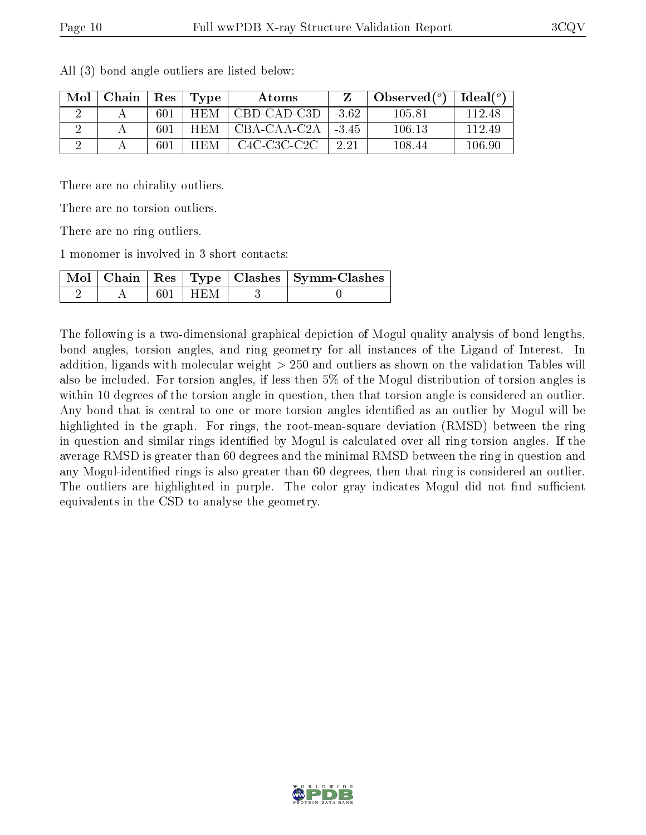| Mol | Chain | Res | Type       | Atoms       |         | Observed $(°)$ | Ideal $(^\circ)$ |
|-----|-------|-----|------------|-------------|---------|----------------|------------------|
|     |       | 601 | <b>HEM</b> | CBD-CAD-C3D | $-3.62$ | 105.81         | 112.48           |
|     |       | 601 | <b>HEM</b> | CBA-CAA-C2A | $-3.45$ | 106.13         | 112.49           |
|     |       | 601 | <b>HEM</b> | C4C-C3C-C2C | 2.21    | 108.44         | $106.90\,$       |

All (3) bond angle outliers are listed below:

There are no chirality outliers.

There are no torsion outliers.

There are no ring outliers.

1 monomer is involved in 3 short contacts:

|  |             | Mol   Chain   Res   Type   Clashes   Symm-Clashes |
|--|-------------|---------------------------------------------------|
|  | $601 + HEM$ |                                                   |

The following is a two-dimensional graphical depiction of Mogul quality analysis of bond lengths, bond angles, torsion angles, and ring geometry for all instances of the Ligand of Interest. In addition, ligands with molecular weight > 250 and outliers as shown on the validation Tables will also be included. For torsion angles, if less then 5% of the Mogul distribution of torsion angles is within 10 degrees of the torsion angle in question, then that torsion angle is considered an outlier. Any bond that is central to one or more torsion angles identified as an outlier by Mogul will be highlighted in the graph. For rings, the root-mean-square deviation (RMSD) between the ring in question and similar rings identified by Mogul is calculated over all ring torsion angles. If the average RMSD is greater than 60 degrees and the minimal RMSD between the ring in question and any Mogul-identified rings is also greater than 60 degrees, then that ring is considered an outlier. The outliers are highlighted in purple. The color gray indicates Mogul did not find sufficient equivalents in the CSD to analyse the geometry.

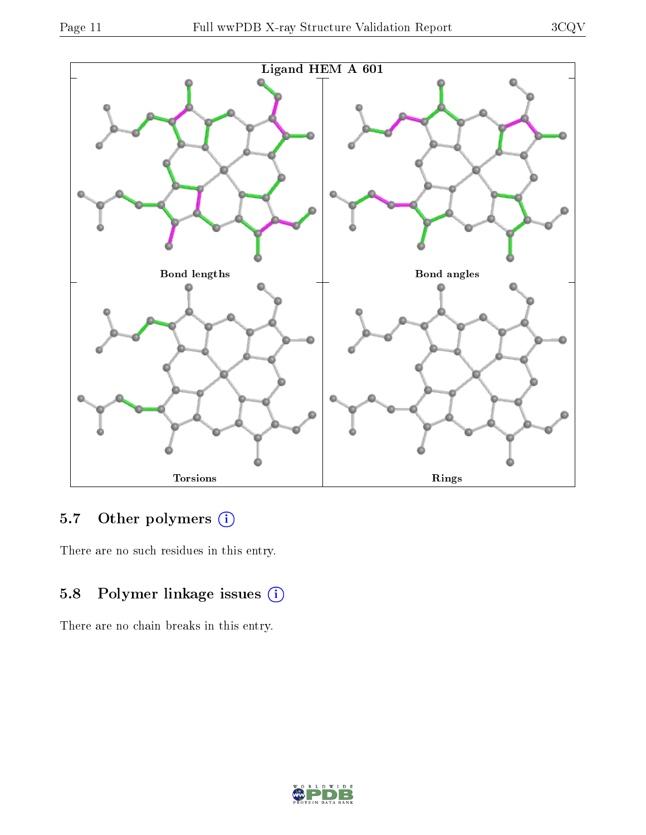



## 5.7 [O](https://www.wwpdb.org/validation/2017/XrayValidationReportHelp#nonstandard_residues_and_ligands)ther polymers (i)

There are no such residues in this entry.

### 5.8 Polymer linkage issues (i)

There are no chain breaks in this entry.

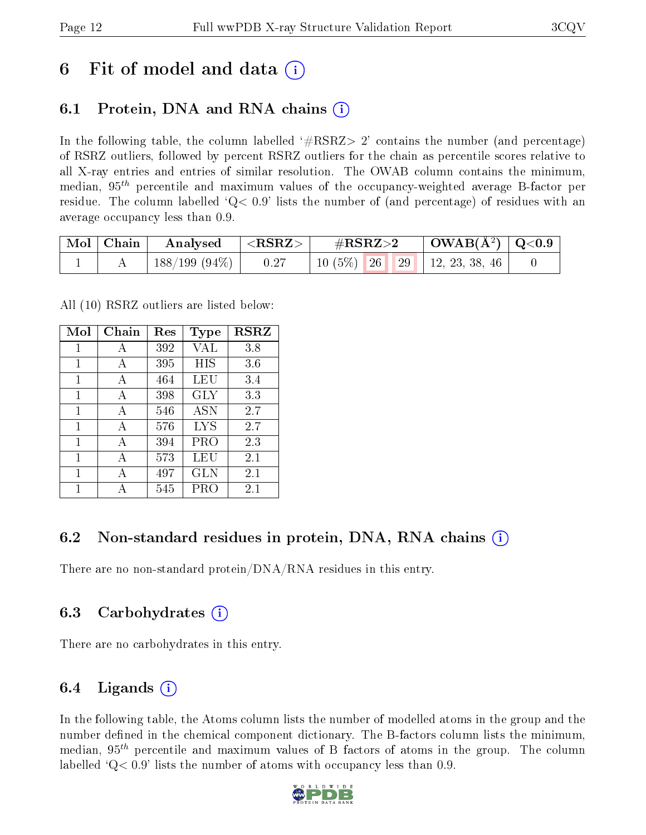## 6 Fit of model and data  $\left(\frac{1}{2}\right)$

### 6.1 Protein, DNA and RNA chains (i)

In the following table, the column labelled  $#RSRZ> 2'$  contains the number (and percentage) of RSRZ outliers, followed by percent RSRZ outliers for the chain as percentile scores relative to all X-ray entries and entries of similar resolution. The OWAB column contains the minimum, median,  $95<sup>th</sup>$  percentile and maximum values of the occupancy-weighted average B-factor per residue. The column labelled  $Q< 0.9$  lists the number of (and percentage) of residues with an average occupancy less than 0.9.

| $\mid$ Mol $\mid$ Chain | $\rm{Analysed}$ $\vert <$ RSRZ $>$ |      | $\#\text{RSRZ}\text{>2}$       | $\vert$ OWAB(Å <sup>2</sup> ) $\vert$ Q<0.9 |  |
|-------------------------|------------------------------------|------|--------------------------------|---------------------------------------------|--|
|                         | $\pm$ 188/199 (94%) $\pm$          | 0.27 | $10(5\%)$ 26 29 12, 23, 38, 46 |                                             |  |

All (10) RSRZ outliers are listed below:

| Mol          | Chain | Res | <b>Type</b> | <b>RSRZ</b> |
|--------------|-------|-----|-------------|-------------|
| 1            | А     | 392 | VAL         | 3.8         |
| $\mathbf{1}$ | A     | 395 | HIS         | 3.6         |
| 1            | A     | 464 | LEU         | 3.4         |
| 1            | A     | 398 | GLY         | 3.3         |
| 1            | A     | 546 | ASN         | 2.7         |
| 1            | A     | 576 | LYS         | 2.7         |
| 1            | A     | 394 | PRO         | 2.3         |
| 1            | A     | 573 | LEU         | 2.1         |
| 1            | А     | 497 | GLN         | 2.1         |
| 1            |       | 545 | PRO         | 2.1         |

### 6.2 Non-standard residues in protein, DNA, RNA chains (i)

There are no non-standard protein/DNA/RNA residues in this entry.

### 6.3 Carbohydrates (i)

There are no carbohydrates in this entry.

### 6.4 Ligands  $(i)$

In the following table, the Atoms column lists the number of modelled atoms in the group and the number defined in the chemical component dictionary. The B-factors column lists the minimum, median,  $95<sup>th</sup>$  percentile and maximum values of B factors of atoms in the group. The column labelled  $Q< 0.9$ ' lists the number of atoms with occupancy less than 0.9.